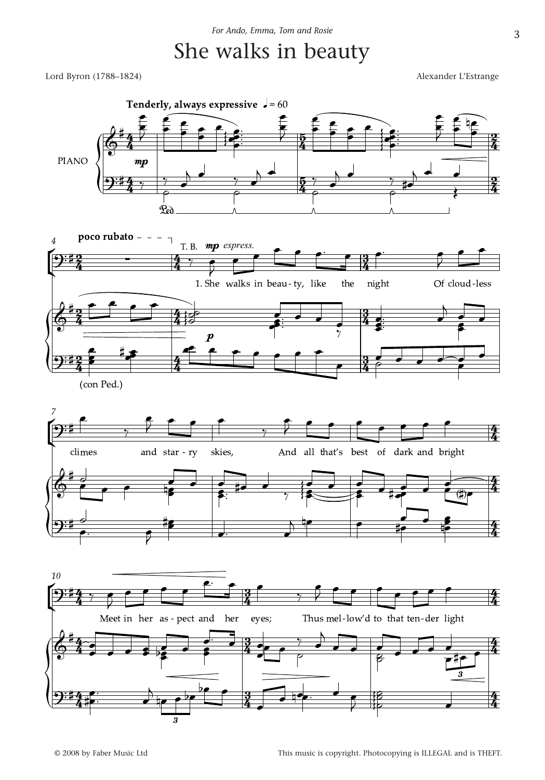## She walks in beauty

Lord Byron (1788–1824) Alexander L'Estrange

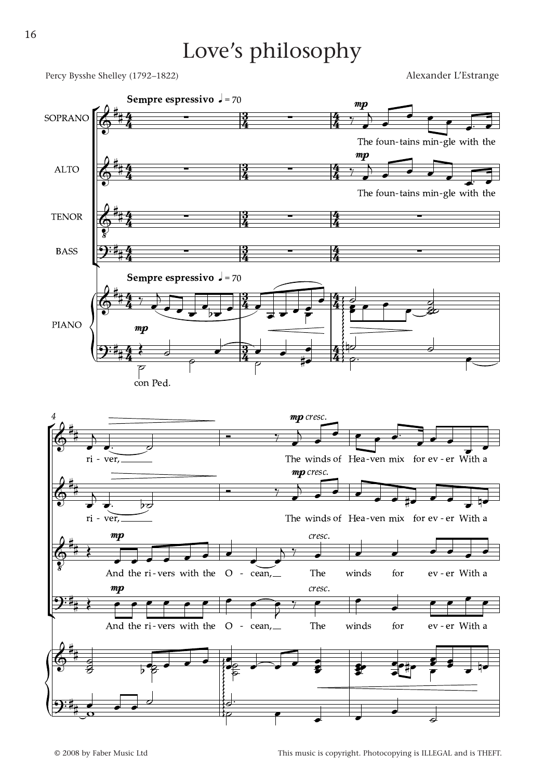## Love's philosophy

Percy Bysshe Shelley (1792–1822) Alexander L'Estrange